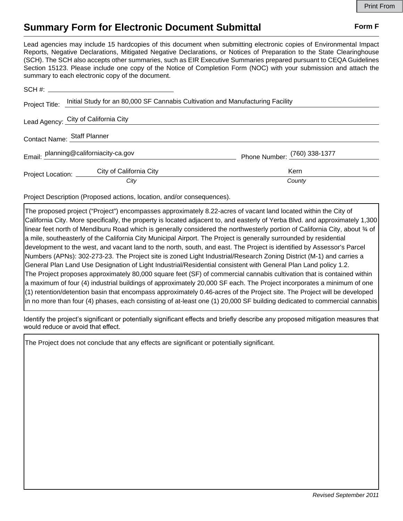## **Summary Form for Electronic Document Submittal Form F Form F**

Lead agencies may include 15 hardcopies of this document when submitting electronic copies of Environmental Impact Reports, Negative Declarations, Mitigated Negative Declarations, or Notices of Preparation to the State Clearinghouse (SCH). The SCH also accepts other summaries, such as EIR Executive Summaries prepared pursuant to CEQA Guidelines Section 15123. Please include one copy of the Notice of Completion Form (NOC) with your submission and attach the summary to each electronic copy of the document.

|                                       | SCH #:                                                                                        |                              |
|---------------------------------------|-----------------------------------------------------------------------------------------------|------------------------------|
|                                       | Project Title: Initial Study for an 80,000 SF Cannabis Cultivation and Manufacturing Facility |                              |
| Lead Agency: City of California City  |                                                                                               |                              |
| Contact Name: Staff Planner           |                                                                                               |                              |
| Email: planning@californiacity-ca.gov |                                                                                               | Phone Number: (760) 338-1377 |
| Project Location: ______              | City of California City                                                                       | Kern                         |
|                                       | City                                                                                          | County                       |

Project Description (Proposed actions, location, and/or consequences).

The proposed project ("Project") encompasses approximately 8.22-acres of vacant land located within the City of California City. More specifically, the property is located adjacent to, and easterly of Yerba Blvd. and approximately 1,300 linear feet north of Mendiburu Road which is generally considered the northwesterly portion of California City, about  $\frac{3}{4}$  of a mile, southeasterly of the California City Municipal Airport. The Project is generally surrounded by residential development to the west, and vacant land to the north, south, and east. The Project is identified by Assessor's Parcel Numbers (APNs): 302-273-23. The Project site is zoned Light Industrial/Research Zoning District (M-1) and carries a General Plan Land Use Designation of Light Industrial/Residential consistent with General Plan Land policy 1.2. The Project proposes approximately 80,000 square feet (SF) of commercial cannabis cultivation that is contained within a maximum of four (4) industrial buildings of approximately 20,000 SF each. The Project incorporates a minimum of one (1) retention/detention basin that encompass approximately 0.46-acres of the Project site. The Project will be developed in no more than four (4) phases, each consisting of at-least one (1) 20,000 SF building dedicated to commercial cannabis

Identify the project's significant or potentially significant effects and briefly describe any proposed mitigation measures that would reduce or avoid that effect.

The Project does not conclude that any effects are significant or potentially significant.